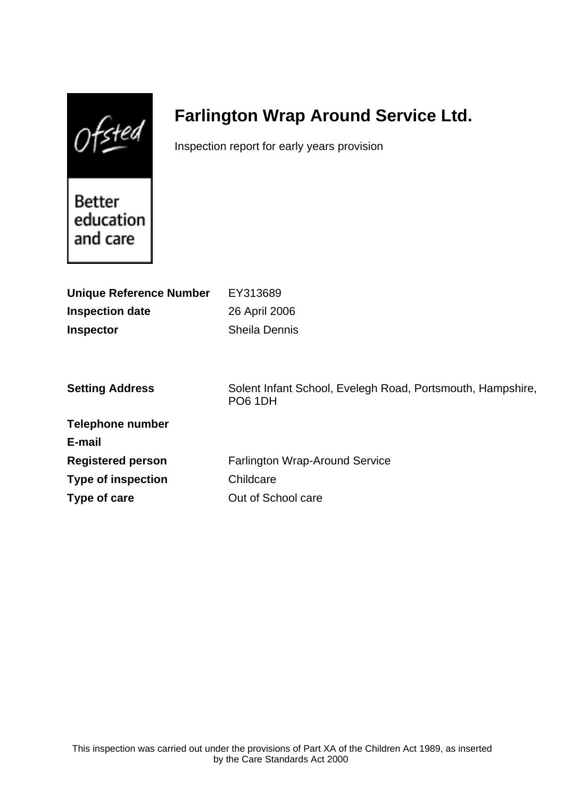$0$ fsted

# **Farlington Wrap Around Service Ltd.**

Inspection report for early years provision

Better education and care

| <b>Unique Reference Number</b><br><b>Inspection date</b><br><b>Inspector</b> | EY313689<br>26 April 2006<br><b>Sheila Dennis</b>                            |
|------------------------------------------------------------------------------|------------------------------------------------------------------------------|
| <b>Setting Address</b>                                                       | Solent Infant School, Evelegh Road, Portsmouth, Hampshire,<br><b>PO6 1DH</b> |
| <b>Telephone number</b>                                                      |                                                                              |
| E-mail                                                                       |                                                                              |
| <b>Registered person</b>                                                     | <b>Farlington Wrap-Around Service</b>                                        |
| <b>Type of inspection</b>                                                    | Childcare                                                                    |
| Type of care                                                                 | Out of School care                                                           |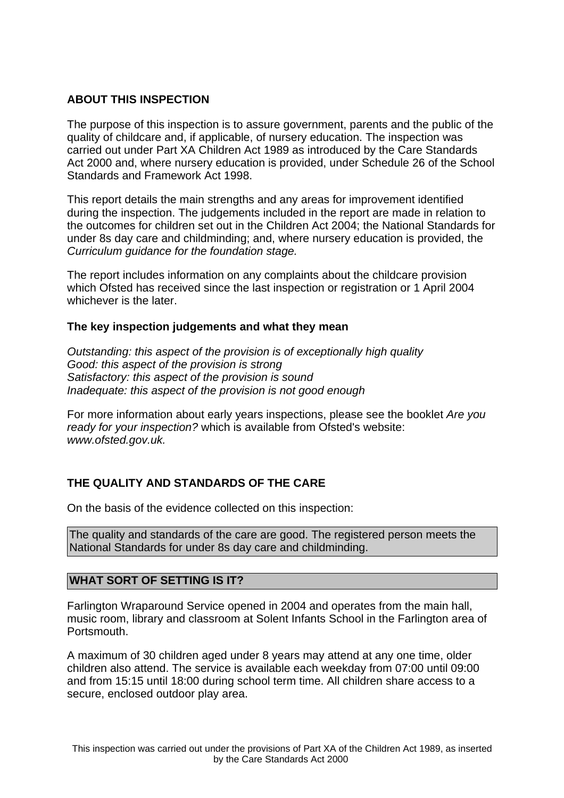# **ABOUT THIS INSPECTION**

The purpose of this inspection is to assure government, parents and the public of the quality of childcare and, if applicable, of nursery education. The inspection was carried out under Part XA Children Act 1989 as introduced by the Care Standards Act 2000 and, where nursery education is provided, under Schedule 26 of the School Standards and Framework Act 1998.

This report details the main strengths and any areas for improvement identified during the inspection. The judgements included in the report are made in relation to the outcomes for children set out in the Children Act 2004; the National Standards for under 8s day care and childminding; and, where nursery education is provided, the Curriculum guidance for the foundation stage.

The report includes information on any complaints about the childcare provision which Ofsted has received since the last inspection or registration or 1 April 2004 whichever is the later.

# **The key inspection judgements and what they mean**

Outstanding: this aspect of the provision is of exceptionally high quality Good: this aspect of the provision is strong Satisfactory: this aspect of the provision is sound Inadequate: this aspect of the provision is not good enough

For more information about early years inspections, please see the booklet Are you ready for your inspection? which is available from Ofsted's website: www.ofsted.gov.uk.

# **THE QUALITY AND STANDARDS OF THE CARE**

On the basis of the evidence collected on this inspection:

The quality and standards of the care are good. The registered person meets the National Standards for under 8s day care and childminding.

# **WHAT SORT OF SETTING IS IT?**

Farlington Wraparound Service opened in 2004 and operates from the main hall, music room, library and classroom at Solent Infants School in the Farlington area of Portsmouth.

A maximum of 30 children aged under 8 years may attend at any one time, older children also attend. The service is available each weekday from 07:00 until 09:00 and from 15:15 until 18:00 during school term time. All children share access to a secure, enclosed outdoor play area.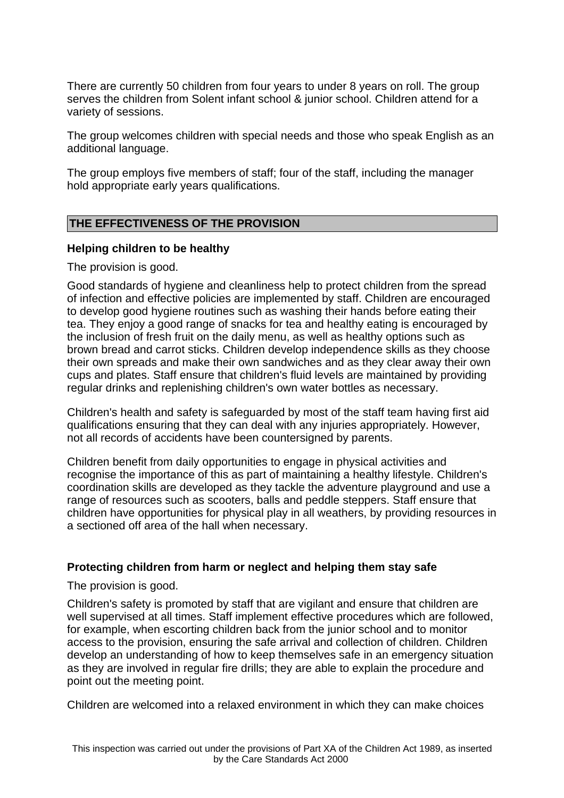There are currently 50 children from four years to under 8 years on roll. The group serves the children from Solent infant school & junior school. Children attend for a variety of sessions.

The group welcomes children with special needs and those who speak English as an additional language.

The group employs five members of staff; four of the staff, including the manager hold appropriate early years qualifications.

# **THE EFFECTIVENESS OF THE PROVISION**

### **Helping children to be healthy**

The provision is good.

Good standards of hygiene and cleanliness help to protect children from the spread of infection and effective policies are implemented by staff. Children are encouraged to develop good hygiene routines such as washing their hands before eating their tea. They enjoy a good range of snacks for tea and healthy eating is encouraged by the inclusion of fresh fruit on the daily menu, as well as healthy options such as brown bread and carrot sticks. Children develop independence skills as they choose their own spreads and make their own sandwiches and as they clear away their own cups and plates. Staff ensure that children's fluid levels are maintained by providing regular drinks and replenishing children's own water bottles as necessary.

Children's health and safety is safeguarded by most of the staff team having first aid qualifications ensuring that they can deal with any injuries appropriately. However, not all records of accidents have been countersigned by parents.

Children benefit from daily opportunities to engage in physical activities and recognise the importance of this as part of maintaining a healthy lifestyle. Children's coordination skills are developed as they tackle the adventure playground and use a range of resources such as scooters, balls and peddle steppers. Staff ensure that children have opportunities for physical play in all weathers, by providing resources in a sectioned off area of the hall when necessary.

# **Protecting children from harm or neglect and helping them stay safe**

The provision is good.

Children's safety is promoted by staff that are vigilant and ensure that children are well supervised at all times. Staff implement effective procedures which are followed, for example, when escorting children back from the junior school and to monitor access to the provision, ensuring the safe arrival and collection of children. Children develop an understanding of how to keep themselves safe in an emergency situation as they are involved in regular fire drills; they are able to explain the procedure and point out the meeting point.

Children are welcomed into a relaxed environment in which they can make choices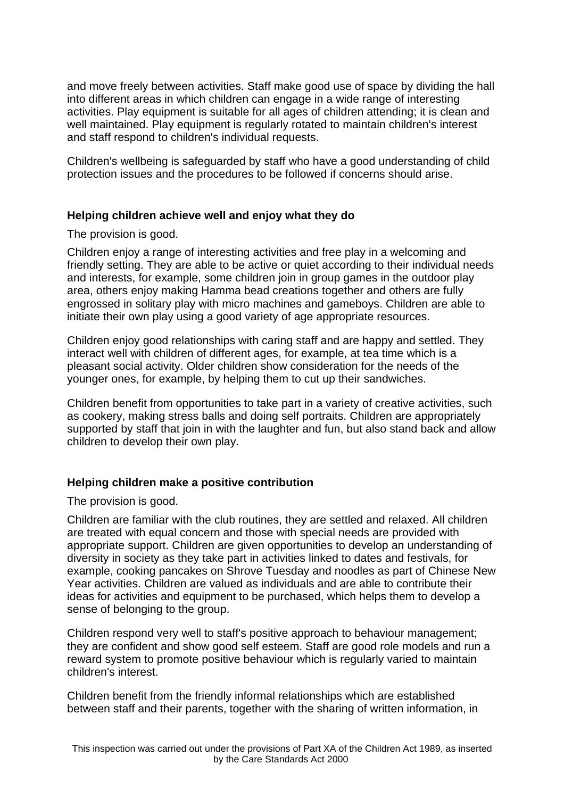and move freely between activities. Staff make good use of space by dividing the hall into different areas in which children can engage in a wide range of interesting activities. Play equipment is suitable for all ages of children attending; it is clean and well maintained. Play equipment is regularly rotated to maintain children's interest and staff respond to children's individual requests.

Children's wellbeing is safeguarded by staff who have a good understanding of child protection issues and the procedures to be followed if concerns should arise.

# **Helping children achieve well and enjoy what they do**

The provision is good.

Children enjoy a range of interesting activities and free play in a welcoming and friendly setting. They are able to be active or quiet according to their individual needs and interests, for example, some children join in group games in the outdoor play area, others enjoy making Hamma bead creations together and others are fully engrossed in solitary play with micro machines and gameboys. Children are able to initiate their own play using a good variety of age appropriate resources.

Children enjoy good relationships with caring staff and are happy and settled. They interact well with children of different ages, for example, at tea time which is a pleasant social activity. Older children show consideration for the needs of the younger ones, for example, by helping them to cut up their sandwiches.

Children benefit from opportunities to take part in a variety of creative activities, such as cookery, making stress balls and doing self portraits. Children are appropriately supported by staff that join in with the laughter and fun, but also stand back and allow children to develop their own play.

# **Helping children make a positive contribution**

The provision is good.

Children are familiar with the club routines, they are settled and relaxed. All children are treated with equal concern and those with special needs are provided with appropriate support. Children are given opportunities to develop an understanding of diversity in society as they take part in activities linked to dates and festivals, for example, cooking pancakes on Shrove Tuesday and noodles as part of Chinese New Year activities. Children are valued as individuals and are able to contribute their ideas for activities and equipment to be purchased, which helps them to develop a sense of belonging to the group.

Children respond very well to staff's positive approach to behaviour management; they are confident and show good self esteem. Staff are good role models and run a reward system to promote positive behaviour which is regularly varied to maintain children's interest.

Children benefit from the friendly informal relationships which are established between staff and their parents, together with the sharing of written information, in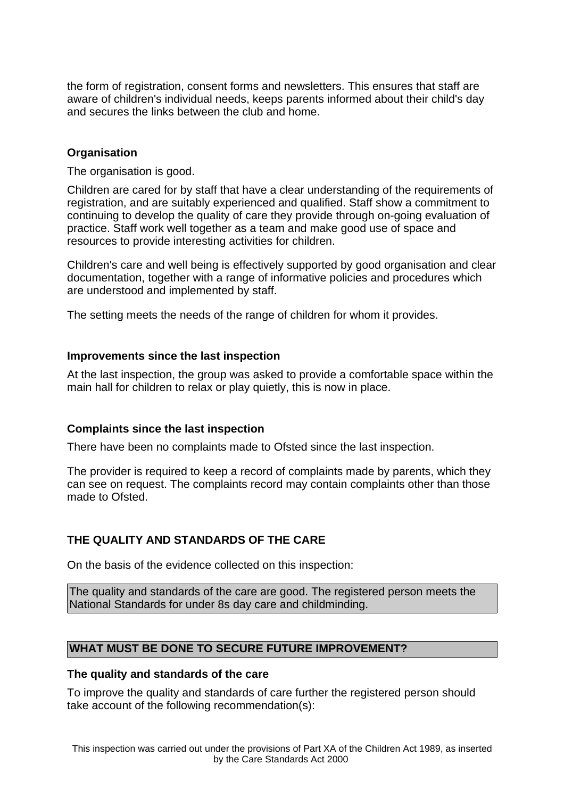the form of registration, consent forms and newsletters. This ensures that staff are aware of children's individual needs, keeps parents informed about their child's day and secures the links between the club and home.

# **Organisation**

The organisation is good.

Children are cared for by staff that have a clear understanding of the requirements of registration, and are suitably experienced and qualified. Staff show a commitment to continuing to develop the quality of care they provide through on-going evaluation of practice. Staff work well together as a team and make good use of space and resources to provide interesting activities for children.

Children's care and well being is effectively supported by good organisation and clear documentation, together with a range of informative policies and procedures which are understood and implemented by staff.

The setting meets the needs of the range of children for whom it provides.

### **Improvements since the last inspection**

At the last inspection, the group was asked to provide a comfortable space within the main hall for children to relax or play quietly, this is now in place.

#### **Complaints since the last inspection**

There have been no complaints made to Ofsted since the last inspection.

The provider is required to keep a record of complaints made by parents, which they can see on request. The complaints record may contain complaints other than those made to Ofsted.

# **THE QUALITY AND STANDARDS OF THE CARE**

On the basis of the evidence collected on this inspection:

The quality and standards of the care are good. The registered person meets the National Standards for under 8s day care and childminding.

# **WHAT MUST BE DONE TO SECURE FUTURE IMPROVEMENT?**

#### **The quality and standards of the care**

To improve the quality and standards of care further the registered person should take account of the following recommendation(s):